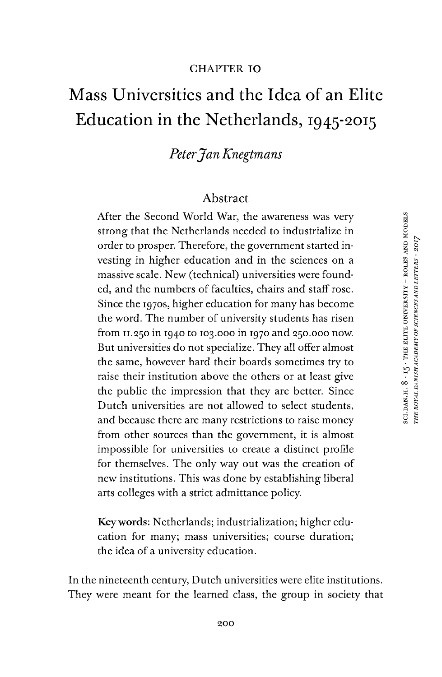#### CHAPTER IO

# Mass Universities and the Idea of an Elite Education in the Netherlands, 1945-2015

## *PeterJanKnegtmans*

#### Abstract

After the Second World War, the awareness was very strong that the Netherlands needed to industrialize in order to prosper. Therefore, the government started investing in higher education and in the sciences on a massive scale. New (technical) universities were founded, and the numbers of faculties, chairs and staff rose. Since the 1970s, higher education for many has become the word. The number of university students has risen from 11.250 in 1940 to 103.000 in 1970 and 250.000 now. But universities do not specialize. They all offer almost the same, however hard their boards sometimes try to raise their institution above the others or at least give the public the impression that they are better. Since Dutch universities are not allowed to select students, and because there are many restrictions to raise money from other sources than the government, it is almost impossible for universities to create a distinct profile for themselves. The only way out was the creation of new institutions. This was done by establishing liberal arts colleges with a strict admittance policy.

Keywords: Netherlands; industrialization; higher education for many; mass universities; course duration; the idea of a university education.

In the nineteenth century, Dutch universities were elite institutions. They were meant for the learned class, the group in society that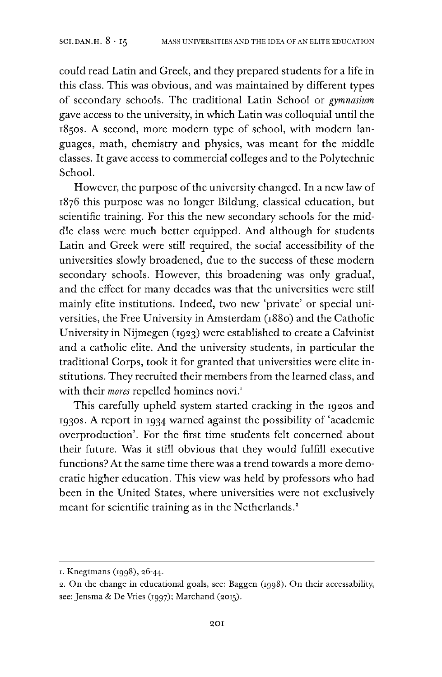could read Latin and Greek, and they prepared students for a life in this class. This was obvious, and was maintained by different types of secondary schools. The traditional Latin School or *gymnasium gave access* to the university, in which Latin was colloquial until the 1850s. A second, more modern type of school, with modern languages, math, chemistry and physics, was meant for the middle classes. It gave access to commercial colleges and to the Polytechnic School.

However, the purpose of the university changed. In a new law of 1876 this purpose was no longer Bildung, classical education, but scientific training. For this the new secondary schools for the middle class were much better equipped. And although for students Latin and Greek were still required, the social accessibility of the universities slowly broadened, due to the success of these modern secondary schools. However, this broadening was only gradual, and the effect for many decades was that the universities were still mainly elite institutions. Indeed, two new 'private' or special universities, the Free University in Amsterdam (1880) and the Catholic University in Nijmegen (1923) were established to create a Calvinist and a catholic elite. And the university students, in particular the traditional Corps, took it for granted that universities were elite institutions. They recruited their members from the learned class, and with their *mores* repelled homines novi.<sup>[1](#page-1-0)</sup>

This carefully upheld system started cracking in the 1920s and 1930s. A report in 1934 warned against the possibility of 'academic overproduction'. For the first time students felt concerned about their future. Was it still obvious that they would fulfill executive functions? At the same time there was a trend towards a more democratic higher education. This view was held by professors who had been in the United States, where universities were not exclusively meant for scientific training as in the Netherlands.<sup>2</sup>

<span id="page-1-0"></span><sup>1.</sup> Knegtmans (1998), 26-44.

<sup>2.</sup> On the change in educational goals, see: Baggen (1998). On their accessability, see: Jensma & De Vries (1997); Marchand (2015).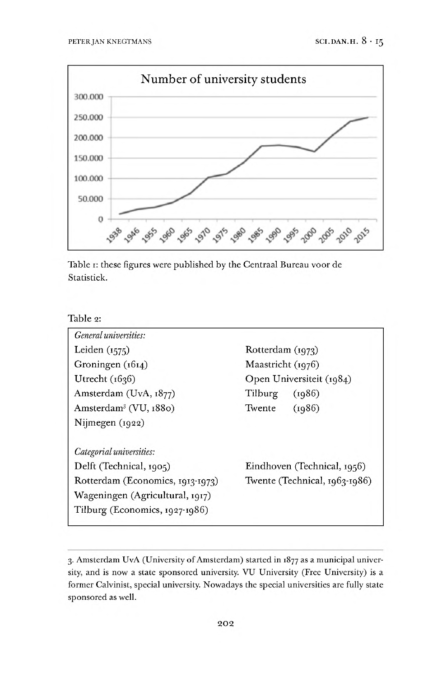

Table 1: these figures were published by the Centraal Bureau voor de Statistiek.

| Table 2: |  |
|----------|--|
|          |  |

| Rotterdam (1973)              |  |
|-------------------------------|--|
| Maastricht (1976)             |  |
| Open Universiteit (1984)      |  |
| Tilburg<br>(1986)             |  |
| (1986)<br>Twente              |  |
|                               |  |
|                               |  |
| Eindhoven (Technical, 1956)   |  |
| Twente (Technical, 1963-1986) |  |
|                               |  |
|                               |  |
|                               |  |

<span id="page-2-0"></span><sup>3.</sup> Amsterdam UvA (University of Amsterdam) started in 1877 as a municipal university, and is now a state sponsored university. VU University (Free University) is a former Calvinist, special university. Nowadays the special universities are fully state sponsored as well.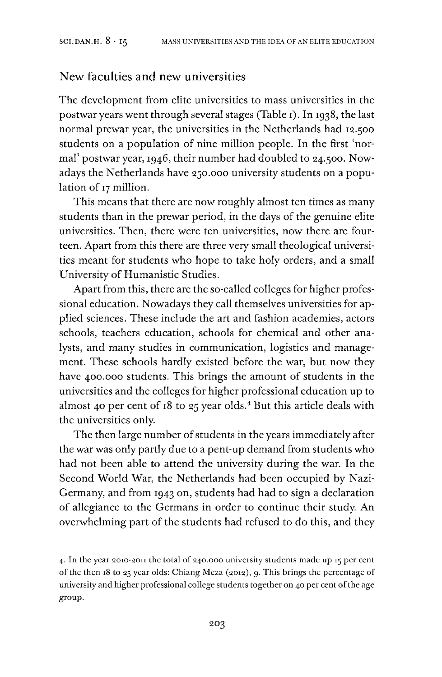#### New faculties and new universities

The development from elite universities to mass universities in the postwar years went through several stages (Table 1). In 1938, the last normal prewar year, the universities in the Netherlands had 12.500 students on a population of nine million people. In the first 'normal' postwar year, 1946, their number had doubled to 24.500. Nowadays the Netherlands have 250.000 university students on a population of <sup>17</sup> million.

This means that there are now roughly almost ten times as many students than in the prewar period, in the days of the genuine elite universities. Then, there were ten universities, now there are fourteen. Apart from this there are three very small theological universities meant for students who hope to take holy orders, and a small University of Humanistic Studies.

Apart from this, there are the so-called colleges for higher professional education. Nowadays they call themselves universities for applied sciences. These include the art and fashion academies, actors schools, teachers education, schools for chemical and other analysts, and many studies in communication, logistics and management. These schools hardly existed before the war, but now they have 400.000 students. This brings the amount of students in the universities and the colleges for higher professional education up to almost [4](#page-3-0)0 per cent of  $18$  to 25 year olds.<sup>4</sup> But this article deals with the universities only.

The then large number of students in the years immediately after the war was only partly due to a pent-up demand from students who had not been able to attend the university during the war. In the Second World War, the Netherlands had been occupied by Nazi-Germany, and from 1943 on, students had had to sign a declaration of allegiance to the Germans in order to continue their study. An overwhelming part of the students had refused to do this, and they

<span id="page-3-0"></span><sup>4.</sup> In the year 2010-2011 the total of 240.000 university students made up <sup>15</sup> per cent of the then 18 to 25 year olds: Chiang Meza (2012), 9. This brings the percentage of university and higher professional college students together on 40 per cent ofthe age group.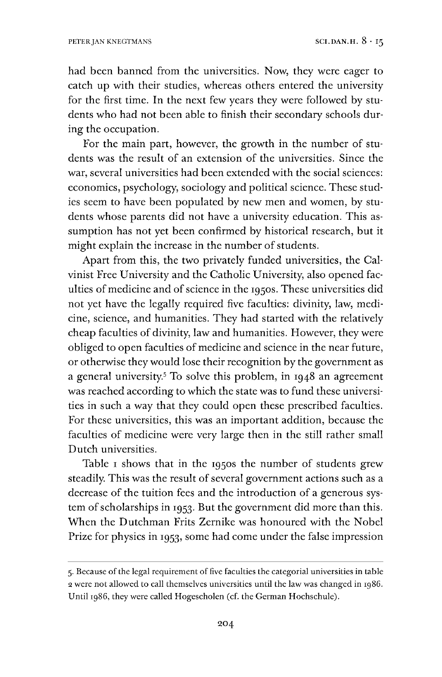had been banned from the universities. Now, they were eager to catch up with their studies, whereas others entered the university for the first time. In the next few years they were followed by students who had not been able to finish their secondary schools during the occupation.

For the main part, however, the growth in the number of students was the result of an extension of the universities. Since the war, several universities had been extended with the social sciences: economics, psychology, sociology and political science. These studies seem to have been populated by new men and women, by students whose parents did not have a university education. This assumption has not yet been confirmed by historical research, but it might explain the increase in the number of students.

Apart from this, the two privately funded universities, the Calvinist Free University and the Catholic University, also opened faculties of medicine and of science in the 1950s. These universities did not yet have the legally required five faculties: divinity, law, medicine, science, and humanities. They had started with the relatively cheap faculties of divinity, law and humanities. However, they were obliged to open faculties of medicine and science in the near future, or otherwise they would lose their recognition by the government as a general university.[5](#page-4-0) To solve this problem, in 1948 an agreement was reached according to which the state was to fund these universities in such a way that they could open these prescribed faculties. For these universities, this was an important addition, because the faculties of medicine were very large then in the still rather small Dutch universities.

Table I shows that in the 1950s the number of students grew steadily. This was the result of several government actions such as a decrease of the tuition fees and the introduction of a generous system of scholarships in 1953. But the government did more than this. When the Dutchman Frits Zernike was honoured with the Nobel Prize for physics in 1953, some had come under the false impression

<span id="page-4-0"></span><sup>5.</sup>Because ofthe legal requirement offive faculties the categorial universities in table <sup>2</sup> were not allowed to call themselves universities until the law was changed in 1986. Until 1986, they were called Hogescholen (cf. the German Hochschule).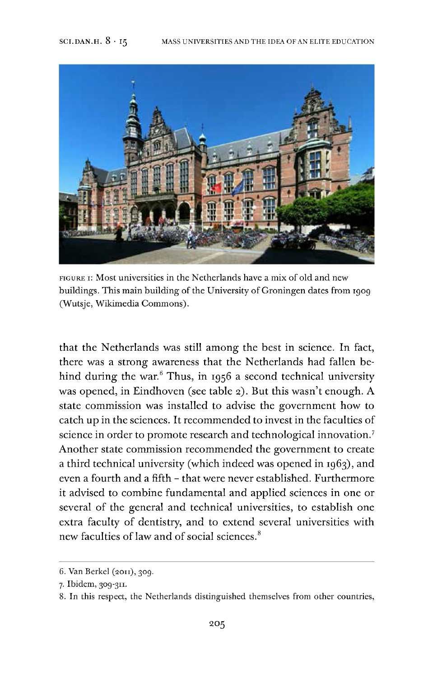

figure 1: Most universities in the Netherlands have a mix of old and new buildings. This main building of the University of Groningen dates from 1909 (Wutsje, Wikimedia Commons).

that the Netherlands was still among the best in science. In fact, there was a strong awareness that the Netherlands had fallen be-hind during the war.<sup>[6](#page-5-0)</sup> Thus, in 1956 a second technical university was opened, in Eindhoven (see table 2). But this wasn't enough. A state commission was installed to advise the government how to catch up in the sciences. It recommended to invest in the faculties of science in order to promote research and technological innovation.<sup>[7](#page-5-1)</sup> Another state commission recommended the government to create a third technical university (which indeed was opened in 1963), and even a fourth and a fifth - that were never established. Furthermore it advised to combine fundamental and applied sciences in one or several of the general and technical universities, to establish one extra faculty of dentistry, and to extend several universities with new faculties of law and of social sciences.<sup>[8](#page-5-2)</sup>

<span id="page-5-0"></span><sup>6.</sup> Van Berkel (2011), 309.

<span id="page-5-1"></span><sup>7.</sup> Ibidem, 309-311.

<span id="page-5-2"></span><sup>8.</sup> In this respect, the Netherlands distinguished themselves from other countries,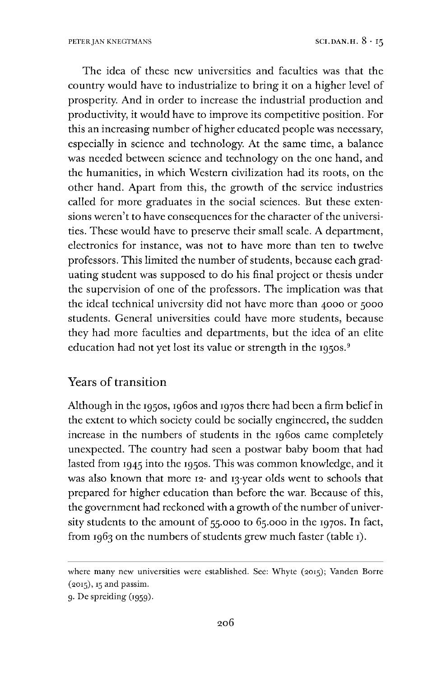The idea of these new universities and faculties was that the country would have to industrialize to bring it on a higher level of prosperity. And in order to increase the industrial production and productivity, it would have to improve its competitive position. For this an increasing number of higher educated people was necessary, especially in science and technology. At the same time, a balance was needed between science and technology on the one hand, and the humanities, in which Western civilization had its roots, on the other hand. Apart from this, the growth of the service industries called for more graduates in the social sciences. But these extensions weren't to have consequences for the character of the universities. These would have to preserve their small scale. A department, electronics for instance, was not to have more than ten to twelve professors. This limited the number of students, because each graduating student was supposed to do his final project or thesis under the supervision of one of the professors. The implication was that the ideal technical university did not have more than 4000 or 5000 students. General universities could have more students, because they had more faculties and departments, but the idea of an elite education had not yet lost its value or strength in the 1[9](#page-6-0)50s.<sup>9</sup>

#### Years of transition

Although in the 1950s, 1960s and 1970s there had been a firm belief in the extent to which society could be socially engineered, the sudden increase in the numbers of students in the 1960s came completely unexpected. The country had seen a postwar baby boom that had lasted from 1945 into the 1950s. This was common knowledge, and it was also known that more 12- and 13-year olds went to schools that prepared for higher education than before the war. Because of this, the government had reckoned with a growth of the number of university students to the amount of 55.000 to 65.000 in the 1970s. In fact, from 1963 on the numbers of students grew much faster (table 1).

where many new universities were established. See: Whyte (2015); Vanden Borre (2015), <sup>15</sup> and passim.

<span id="page-6-0"></span><sup>9.</sup>De spreiding (1959).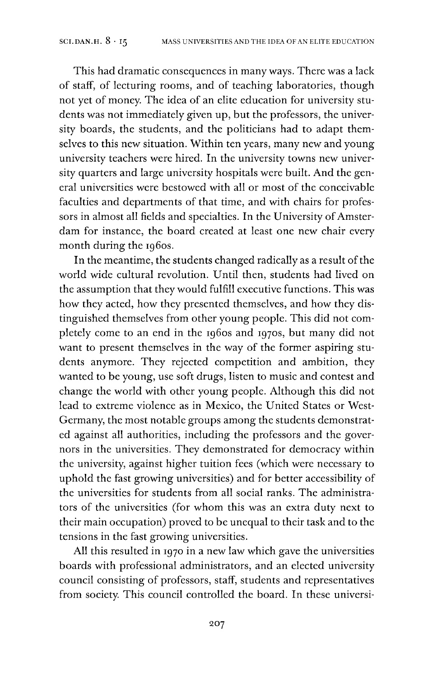This had dramatic consequences in many ways. There was a lack of staff, of lecturing rooms, and of teaching laboratories, though not yet of money. The idea of an elite education for university students was not immediately given up, but the professors, the university boards, the students, and the politicians had to adapt themselves to this new situation. Within ten years, many new and young university teachers were hired. In the university towns new university quarters and large university hospitals were built. And the general universities were bestowed with all or most of the conceivable faculties and departments of that time, and with chairs for professors in almost all fields and specialties. In the University of Amsterdam for instance, the board created at least one new chair every month during the 1960s.

In the meantime, the students changed radically as a result of the world wide cultural revolution. Until then, students had lived on the assumption that they would fulfill executive functions. This was how they acted, how they presented themselves, and how they distinguished themselves from other young people. This did not completely come to an end in the 1960s and 1970s, but many did not want to present themselves in the way of the former aspiring students anymore. They rejected competition and ambition, they wanted to be young, use soft drugs, listen to music and contest and change the world with other young people. Although this did not lead to extreme violence as in Mexico, the United States or West-Germany, the most notable groups among the students demonstrated against all authorities, including the professors and the governors in the universities. They demonstrated for democracy within the university, against higher tuition fees (which were necessary to uphold the fast growing universities) and for better accessibility of the universities for students from all social ranks. The administrators of the universities (for whom this was an extra duty next to their main occupation) proved to be unequal to their task and to the tensions in the fast growing universities.

All this resulted in 1970 in a new law which gave the universities boards with professional administrators, and an elected university council consisting of professors, staff, students and representatives from society. This council controlled the board. In these universi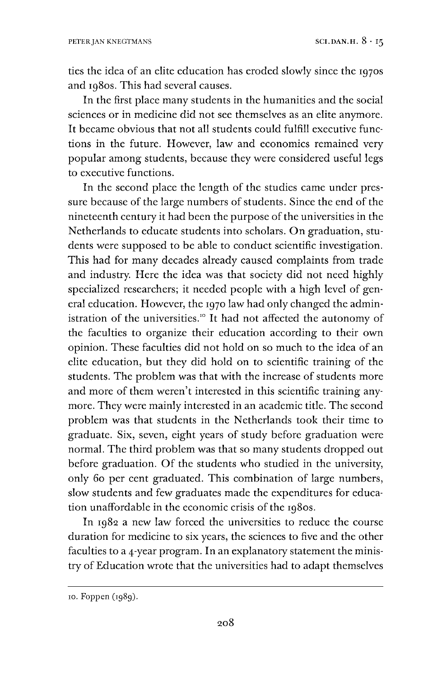ties the idea of an elite education has eroded slowly since the 1970s and 1980s. This had several causes.

In the first place many students in the humanities and the social sciences or in medicine did not see themselves as an elite anymore. It became obvious that not all students could fulfill executive functions in the future. However, law and economics remained very popular among students, because they were considered useful legs to executive functions.

In the second place the length of the studies came under pressure because of the large numbers of students. Since the end of the nineteenth century it had been the purpose of the universities in the Netherlands to educate students into scholars. On graduation, students were supposed to be able to conduct scientific investigation. This had for many decades already caused complaints from trade and industry. Here the idea was that society did not need highly specialized researchers; it needed people with a high level of general education. However, the 1970 law had only changed the administration of the universities." It had not affected the autonomy of the faculties to organize their education according to their own opinion. These faculties did not hold on so much to the idea of an elite education, but they did hold on to scientific training of the students. The problem was that with the increase of students more and more of them weren't interested in this scientific training anymore. They were mainly interested in an academic title. The second problem was that students in the Netherlands took their time to graduate. Six, seven, eight years of study before graduation were normal. The third problem was that so many students dropped out before graduation. Of the students who studied in the university, only 60 per cent graduated. This combination of large numbers, slow students and few graduates made the expenditures for education unaffordable in the economic crisis of the 1980s.

In 1982 a new law forced the universities to reduce the course duration for medicine to six years, the sciences to five and the other faculties to a 4-year program. In an explanatory statement the ministry of Education wrote that the universities had to adapt themselves

<sup>10.</sup> Foppen (1989).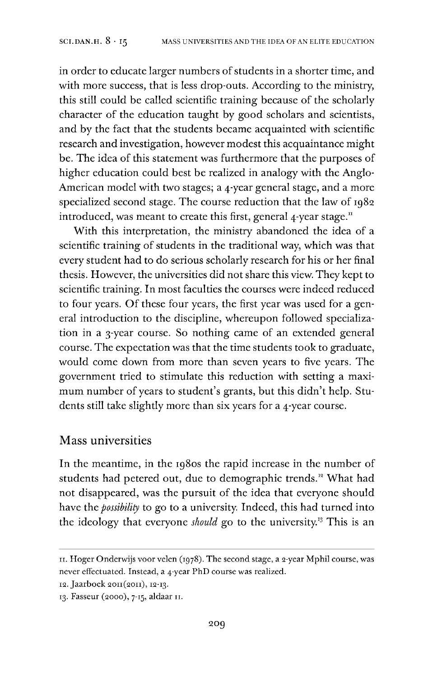in order to educate larger numbers of students in a shorter time, and with more success, that is less drop-outs. According to the ministry, this still could be called scientific training because of the scholarly character of the education taught by good scholars and scientists, and by the fact that the students became acquainted with scientific research and investigation, however modest this acquaintance might be. The idea of this statement was furthermore that the purposes of higher education could best be realized in analogy with the Anglo-American model with two stages; a 4-year general stage, and a more specialized second stage. The course reduction that the law of 1982 introduced, was meant to create this first, general  $4$ -year stage.<sup>[11](#page-9-0)</sup>

With this interpretation, the ministry abandoned the idea of a scientific training of students in the traditional way, which was that every student had to do serious scholarly research for his or her final thesis. However, the universities did not share this view. They kept to scientific training. In most faculties the courses were indeed reduced to four years. Of these four years, the first year was used for a general introduction to the discipline, whereupon followed specialization in a 3-year course. So nothing came of an extended general course. The expectation was that the time students took to graduate, would come down from more than seven years to five years. The government tried to stimulate this reduction with setting a maximum number of years to student's grants, but this didn't help. Students still take slightly more than six years for a 4-year course.

#### Mass universities

In the meantime, in the 1980s the rapid increase in the number of students had petered out, due to demographic trends.<sup>12</sup> What had not disappeared, was the pursuit of the idea that everyone should have the *possibility* to go to a university. Indeed, this had turned into the ideology that everyone *should go* to the university.[13](#page-9-1) This is an

<span id="page-9-0"></span><sup>11.</sup> Hoger Onderwijs voor velen (1978). The second stage, a 2-year Mphil course, was never effectuated. Instead, a 4-year PhD course was realized.

<sup>12.</sup> Jaarboek 2011(2011), 12-13.

<span id="page-9-1"></span><sup>13.</sup> Fasseur (2000), 7-15, aldaar 11.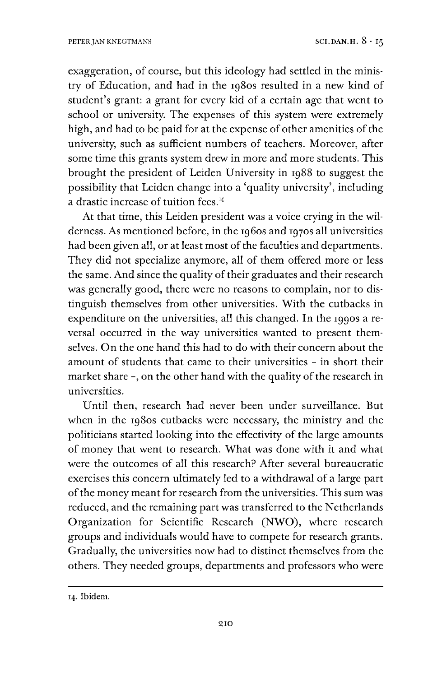exaggeration, of course, but this ideology had settled in the ministry of Education, and had in the 1980s resulted in a new kind of student's grant: a grant for every kid of a certain age that went to school or university. The expenses of this system were extremely high, and had to be paid for at the expense of other amenities of the university, such as sufficient numbers of teachers. Moreover, after some time this grants system drew in more and more students. This brought the president of Leiden University in 1988 to suggest the possibility that Leiden change into a 'quality university', including a drastic increase of tuition fees. $44$ 

At that time, this Leiden president was a voice crying in the wilderness. As mentioned before, in the 1960s and 1970s all universities had been given all, or at least most of the faculties and departments. They did not specialize anymore, all of them offered more or less the same. And since the quality of their graduates and their research was generally good, there were no reasons to complain, nor to distinguish themselves from other universities. With the cutbacks in expenditure on the universities, all this changed. In the 1990s a reversal occurred in the way universities wanted to present themselves. On the one hand this had to do with their concern about the amount of students that came to their universities - in short their market share -, on the other hand with the quality of the research in universities.

Until then, research had never been under surveillance. But when in the 1980s cutbacks were necessary, the ministry and the politicians started looking into the effectivity of the large amounts of money that went to research. What was done with it and what were the outcomes of all this research? After several bureaucratic exercises this concern ultimately led to a withdrawal of a large part of the money meant for research from the universities. This sum was reduced, and the remaining part was transferred to the Netherlands Organization for Scientific Research (NWO), where research groups and individuals would have to compete for research grants. Gradually, the universities now had to distinct themselves from the others. They needed groups, departments and professors who were

<sup>14.</sup> Ibidem.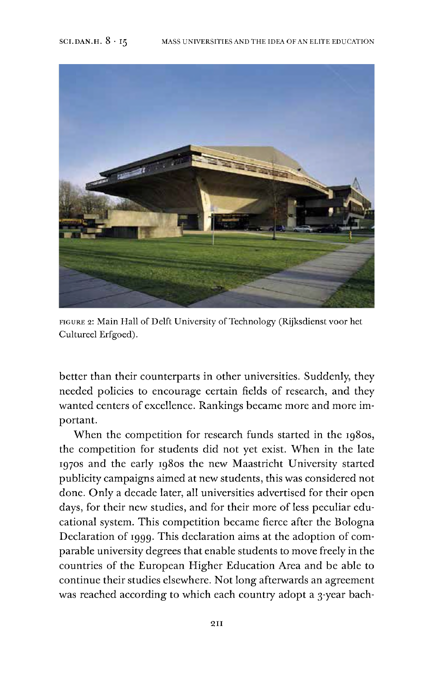

FIGURE 2: Main Hall of Delft University of Technology (Rijksdienst voor het Cultured Erfgoed).

better than their counterparts in other universities. Suddenly, they needed policies to encourage certain fields of research, and they wanted centers of excellence. Rankings became more and more important.

When the competition for research funds started in the 1980s, the competition for students did not yet exist. When in the late 1970s and the early 1980s the new Maastricht University started publicity campaigns aimed at new students, this was considered not done. Only a decade later, all universities advertised for their open days, for their new studies, and for their more of less peculiar educational system. This competition became fierce after the Bologna Declaration of 1999. This declaration aims at the adoption of comparable university degrees that enable students to move freely in the countries of the European Higher Education Area and be able to continue their studies elsewhere. Not long afterwards an agreement was reached according to which each country adopt a 3-year bach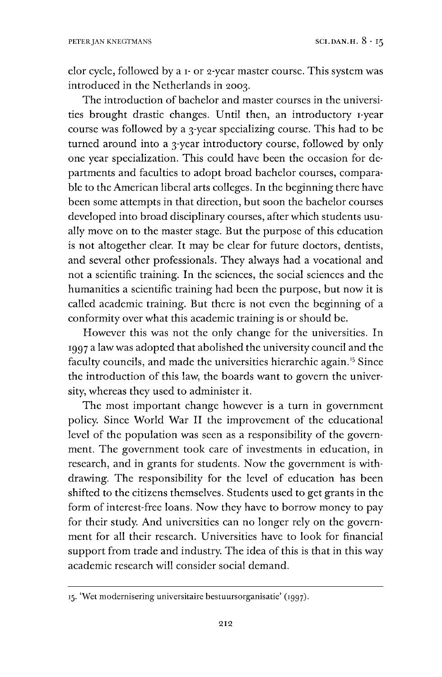elor cycle, followed by a 1- or 2-year master course. This system was introduced in the Netherlands in 2003.

The introduction of bachelor and master courses in the universities brought drastic changes. Until then, an introductory i-year course was followed by a 3-year specializing course. This had to be turned around into a 3-year introductory course, followed by only one year specialization. This could have been the occasion for departments and faculties to adopt broad bachelor courses, comparable to the American liberal arts colleges. In the beginning there have been some attempts in that direction, but soon the bachelor courses developed into broad disciplinary courses, after which students usually move on to the master stage. But the purpose of this education is not altogether clear. It may be clear for future doctors, dentists, and several other professionals. They always had a vocational and not a scientific training. In the sciences, the social sciences and the humanities a scientific training had been the purpose, but now it is called academic training. But there is not even the beginning of a conformity over what this academic training is or should be.

However this was not the only change for the universities. In 1997 a law was adopted that abolished the university council and the faculty councils, and made the universities hierarchic again.<sup>[15](#page-12-0)</sup> Since the introduction of this law, the boards want to govern the university, whereas they used to administer it.

The most important change however is a turn in government policy. Since World War II the improvement of the educational level of the population was seen as a responsibility of the government. The government took care of investments in education, in research, and in grants for students. Now the government is withdrawing. The responsibility for the level of education has been shifted to the citizens themselves. Students used to get grants in the form of interest-free loans. Now they have to borrow money to pay for their study. And universities can no longer rely on the government for all their research. Universities have to look for financial support from trade and industry. The idea of this is that in this way academic research will consider social demand.

<span id="page-12-0"></span><sup>15.</sup> 'Wet modernisering universitaire bestuursorganisatie' (1997).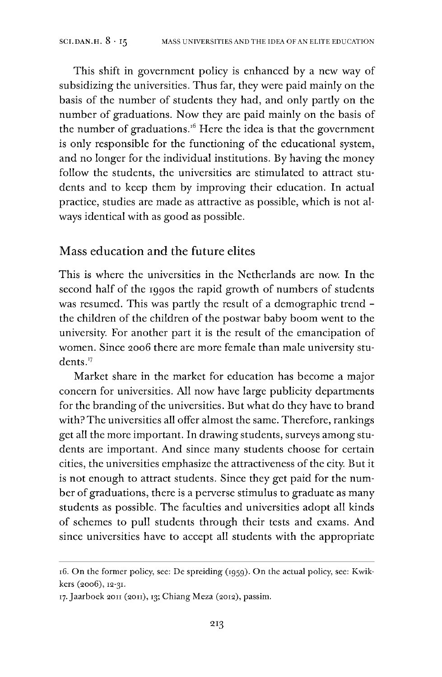This shift in government policy is enhanced by a new way of subsidizing the universities. Thus far, they were paid mainly on the basis of the number of students they had, and only partly on the number of graduations. Now they are paid mainly on the basis of the number of graduations.[16](#page-13-0) Here the idea is that the government is only responsible for the functioning of the educational system, and no longer for the individual institutions. By having the money follow the students, the universities are stimulated to attract students and to keep them by improving their education. In actual practice, studies are made as attractive as possible, which is not always identical with as good as possible.

#### Mass education and the future elites

This is where the universities in the Netherlands are now. In the second half of the 1990s the rapid growth of numbers of students was resumed. This was partly the result of a demographic trend the children of the children of the postwar baby boom went to the university. For another part it is the result of the emancipation of women. Since 2006 there are more female than male university stu-dents.<sup>[17](#page-13-1)</sup>

Market share in the market for education has become a major concern for universities. All now have large publicity departments for the branding of the universities. But what do they have to brand with?The universities all offer almost the same. Therefore, rankings get all the more important. In drawing students, surveys among students are important. And since many students choose for certain cities, the universities emphasize the attractiveness of the city. But it is not enough to attract students. Since they get paid for the number of graduations, there is a perverse stimulus to graduate as many students as possible. The faculties and universities adopt all kinds of schemes to pull students through their tests and exams. And since universities have to accept all students with the appropriate

<span id="page-13-0"></span><sup>16.</sup> On the former policy, see: De spreiding (1959). On the actual policy, see: Kwikkers (2006), 12-31.

<span id="page-13-1"></span><sup>17.</sup> Jaarboek 2011 (2011), 13; Chiang Meza (2012), passim.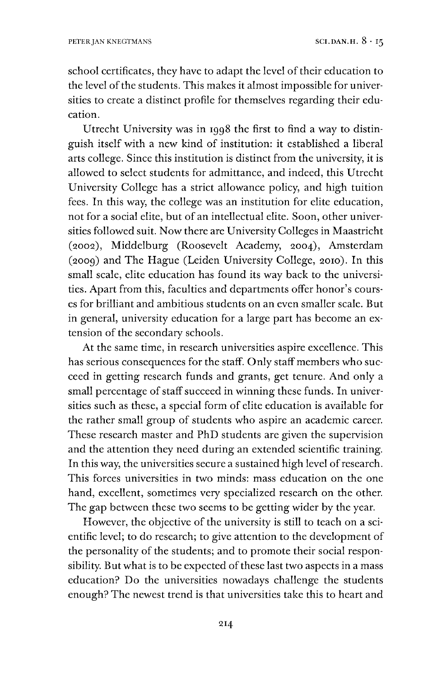school certificates, they have to adapt the level of their education to the level of the students. This makes it almost impossible for universities to create a distinct profile for themselves regarding their education.

Utrecht University was in 1998 the first to find a way to distinguish itself with a new kind of institution: it established a liberal arts college. Since this institution is distinct from the university, it is allowed to select students for admittance, and indeed, this Utrecht University College has a strict allowance policy, and high tuition fees. In this way, the college was an institution for elite education, not for a social elite, but of an intellectual elite. Soon, other universities followed suit. Now there are University Colleges in Maastricht (2002), Middelburg (Roosevelt Academy, 2004), Amsterdam (2009) and The Hague (Leiden University College, 2010). In this small scale, elite education has found its way back to the universities. Apart from this, faculties and departments offer honor's courses for brilliant and ambitious students on an even smaller scale. But in general, university education for a large part has become an extension of the secondary schools.

At the same time, in research universities aspire excellence. This has serious consequences for the staff. Only staff members who succeed in getting research funds and grants, get tenure. And only a small percentage of staff succeed in winning these funds. In universities such as these, a special form of elite education is available for the rather small group of students who aspire an academic career. These research master and PhD students are given the supervision and the attention they need during an extended scientific training. In this way, the universities secure a sustained high level of research. This forces universities in two minds: mass education on the one hand, excellent, sometimes very specialized research on the other. The gap between these two seems to be getting wider by the year.

However, the objective of the university is still to teach on a scientific level; to do research; to give attention to the development of the personality of the students; and to promote their social responsibility. But what is to be expected of these last two aspects in a mass education? Do the universities nowadays challenge the students enough? The newest trend is that universities take this to heart and